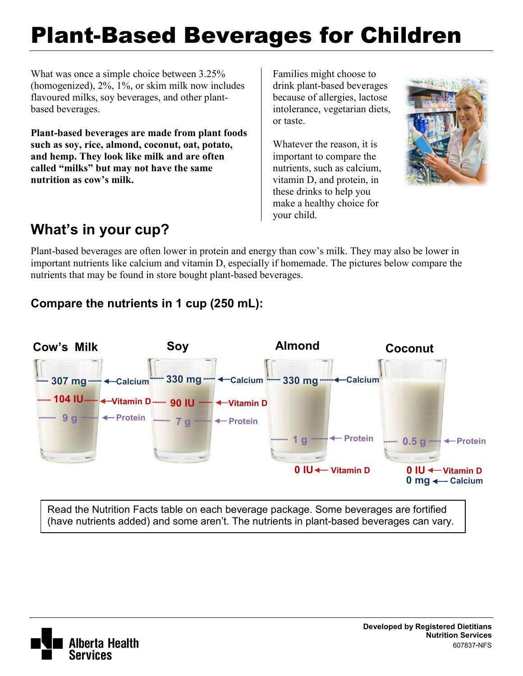# Plant-Based Beverages for Children

What was once a simple choice between 3.25% (homogenized), 2%, 1%, or skim milk now includes flavoured milks, soy beverages, and other plantbased beverages.

**Plant-based beverages are made from plant foods such as soy, rice, almond, coconut, oat, potato, and hemp. They look like milk and are often called "milks" but may not have the same nutrition as cow's milk.** 

Families might choose to drink plant-based beverages because of allergies, lactose intolerance, vegetarian diets, or taste.

Whatever the reason, it is important to compare the nutrients, such as calcium, vitamin D, and protein, in these drinks to help you make a healthy choice for your child.



## **What's in your cup?**

Plant-based beverages are often lower in protein and energy than cow's milk. They may also be lower in important nutrients like calcium and vitamin D, especially if homemade. The pictures below compare the nutrients that may be found in store bought plant-based beverages.

#### **Compare the nutrients in 1 cup (250 mL):**



Read the Nutrition Facts table on each beverage package. Some beverages are fortified (have nutrients added) and some aren't. The nutrients in plant-based beverages can vary.

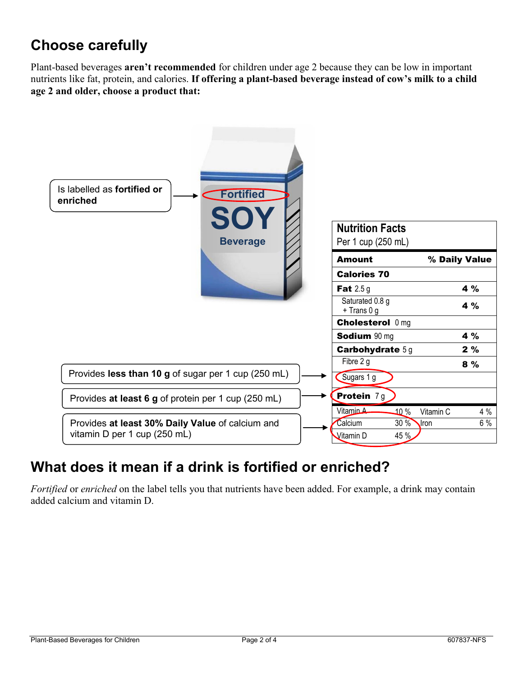## **Choose carefully**

Plant-based beverages **aren't recommended** for children under age 2 because they can be low in important nutrients like fat, protein, and calories. **If offering a plant-based beverage instead of cow's milk to a child age 2 and older, choose a product that:**



## **What does it mean if a drink is fortified or enriched?**

*Fortified* or *enriched* on the label tells you that nutrients have been added. For example, a drink may contain added calcium and vitamin D.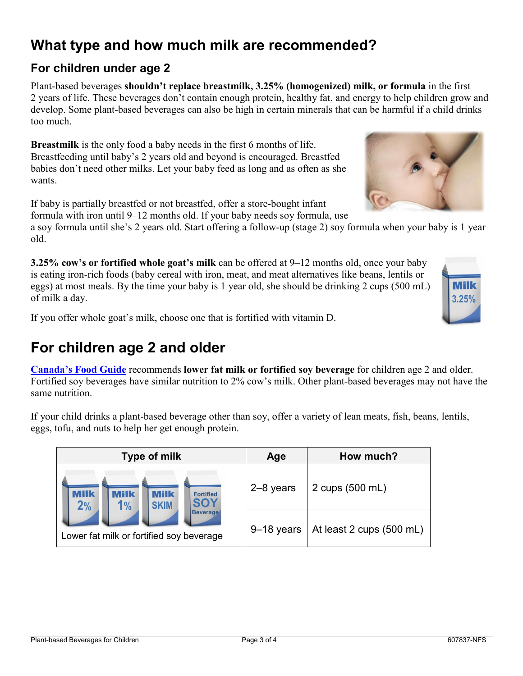## **What type and how much milk are recommended?**

#### **For children under age 2**

Plant-based beverages **shouldn't replace breastmilk, 3.25% (homogenized) milk, or formula** in the first 2 years of life. These beverages don't contain enough protein, healthy fat, and energy to help children grow and develop. Some plant-based beverages can also be high in certain minerals that can be harmful if a child drinks too much.

**Breastmilk** is the only food a baby needs in the first 6 months of life. Breastfeeding until baby's 2 years old and beyond is encouraged. Breastfed babies don't need other milks. Let your baby feed as long and as often as she wants.

If baby is partially breastfed or not breastfed, offer a store-bought infant formula with iron until 9–12 months old. If your baby needs soy formula, use

a soy formula until she's 2 years old. Start offering a follow-up (stage 2) soy formula when your baby is 1 year old.

**3.25% cow's or fortified whole goat's milk** can be offered at 9–12 months old, once your baby is eating iron-rich foods (baby cereal with iron, meat, and meat alternatives like beans, lentils or eggs) at most meals. By the time your baby is 1 year old, she should be drinking 2 cups (500 mL) of milk a day.

If you offer whole goat's milk, choose one that is fortified with vitamin D.

## **For children age 2 and older**

**[Canada's Food Guide](http://www.healthcanada.gc.ca/foodguide)** recommends **lower fat milk or fortified soy beverage** for children age 2 and older. Fortified soy beverages have similar nutrition to 2% cow's milk. Other plant-based beverages may not have the same nutrition.

If your child drinks a plant-based beverage other than soy, offer a variety of lean meats, fish, beans, lentils, eggs, tofu, and nuts to help her get enough protein.

| Type of milk                                                                                                                                             | Age            | How much?                |
|----------------------------------------------------------------------------------------------------------------------------------------------------------|----------------|--------------------------|
| <b>Milk</b><br><b>Milk</b><br>VIIIk<br><b>Fortified</b><br>SOY<br>2%<br><b>SKIM</b><br>1%<br><b>Beverage</b><br>Lower fat milk or fortified soy beverage | 2-8 years      | 2 cups (500 mL)          |
|                                                                                                                                                          | $9 - 18$ years | At least 2 cups (500 mL) |